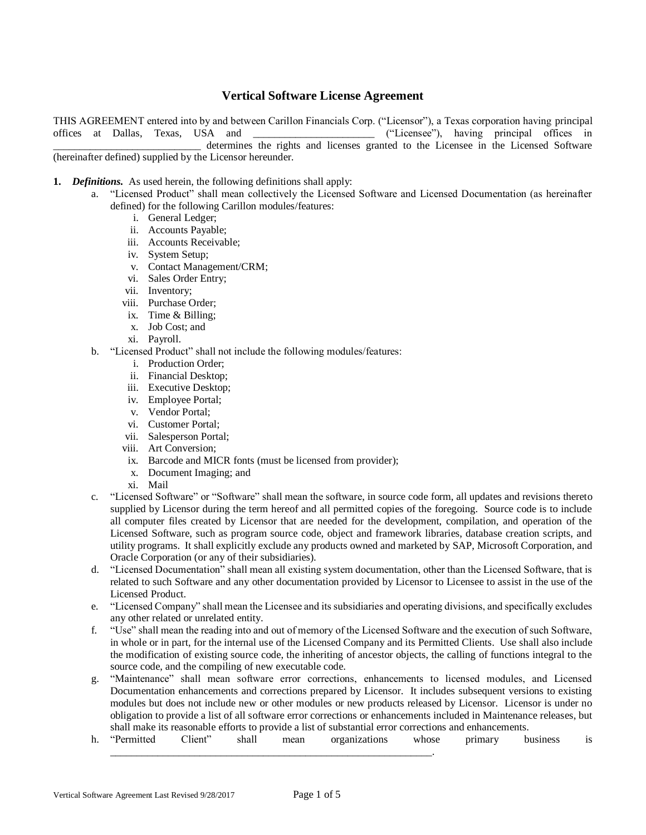# **Vertical Software License Agreement**

THIS AGREEMENT entered into by and between Carillon Financials Corp. ("Licensor"), a Texas corporation having principal offices at Dallas, Texas, USA and \_\_\_\_\_\_\_\_\_\_\_\_\_\_\_\_\_\_\_\_\_\_\_ ("Licensee"), having principal offices in determines the rights and licenses granted to the Licensee in the Licensed Software (hereinafter defined) supplied by the Licensor hereunder.

#### **1.** *Definitions.* As used herein, the following definitions shall apply:

- a. "Licensed Product" shall mean collectively the Licensed Software and Licensed Documentation (as hereinafter defined) for the following Carillon modules/features:
	- i. General Ledger;
	- ii. Accounts Payable;
	- iii. Accounts Receivable;
	- iv. System Setup;
	- v. Contact Management/CRM;
	- vi. Sales Order Entry;
	- vii. Inventory;
	- viii. Purchase Order;
	- ix. Time & Billing;
	- x. Job Cost; and
	- xi. Payroll.
	- b. "Licensed Product" shall not include the following modules/features:
		- i. Production Order;
		- ii. Financial Desktop;
		- iii. Executive Desktop;
		- iv. Employee Portal;
		- v. Vendor Portal;
		- vi. Customer Portal;
		- vii. Salesperson Portal;
		- viii. Art Conversion;
		- ix. Barcode and MICR fonts (must be licensed from provider);
		- x. Document Imaging; and
		- xi. Mail
	- c. "Licensed Software" or "Software" shall mean the software, in source code form, all updates and revisions thereto supplied by Licensor during the term hereof and all permitted copies of the foregoing. Source code is to include all computer files created by Licensor that are needed for the development, compilation, and operation of the Licensed Software, such as program source code, object and framework libraries, database creation scripts, and utility programs. It shall explicitly exclude any products owned and marketed by SAP, Microsoft Corporation, and Oracle Corporation (or any of their subsidiaries).
	- d. "Licensed Documentation" shall mean all existing system documentation, other than the Licensed Software, that is related to such Software and any other documentation provided by Licensor to Licensee to assist in the use of the Licensed Product.
	- e. "Licensed Company" shall mean the Licensee and its subsidiaries and operating divisions, and specifically excludes any other related or unrelated entity.
	- f. "Use" shall mean the reading into and out of memory of the Licensed Software and the execution of such Software, in whole or in part, for the internal use of the Licensed Company and its Permitted Clients. Use shall also include the modification of existing source code, the inheriting of ancestor objects, the calling of functions integral to the source code, and the compiling of new executable code.
	- g. "Maintenance" shall mean software error corrections, enhancements to licensed modules, and Licensed Documentation enhancements and corrections prepared by Licensor. It includes subsequent versions to existing modules but does not include new or other modules or new products released by Licensor. Licensor is under no obligation to provide a list of all software error corrections or enhancements included in Maintenance releases, but shall make its reasonable efforts to provide a list of substantial error corrections and enhancements.
	- h. "Permitted Client" shall mean organizations whose primary business is \_\_\_\_\_\_\_\_\_\_\_\_\_\_\_\_\_\_\_\_\_\_\_\_\_\_\_\_\_\_\_\_\_\_\_\_\_\_\_\_\_\_\_\_\_\_\_\_\_\_\_\_\_\_\_\_\_\_\_\_\_.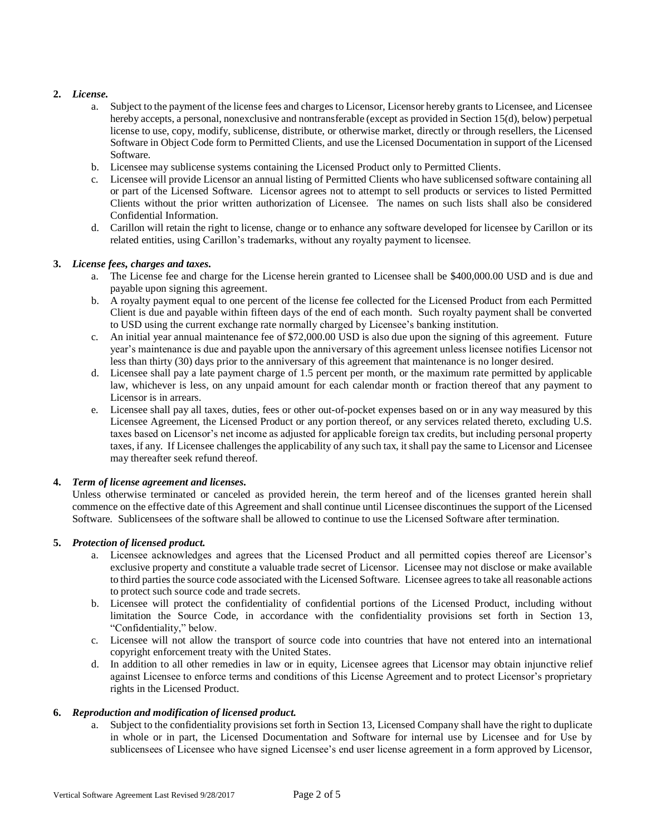# **2.** *License.*

- a. Subject to the payment of the license fees and charges to Licensor, Licensor hereby grants to Licensee, and Licensee hereby accepts, a personal, nonexclusive and nontransferable (except as provided in Section 15(d), below) perpetual license to use, copy, modify, sublicense, distribute, or otherwise market, directly or through resellers, the Licensed Software in Object Code form to Permitted Clients, and use the Licensed Documentation in support of the Licensed Software.
- b. Licensee may sublicense systems containing the Licensed Product only to Permitted Clients.
- c. Licensee will provide Licensor an annual listing of Permitted Clients who have sublicensed software containing all or part of the Licensed Software. Licensor agrees not to attempt to sell products or services to listed Permitted Clients without the prior written authorization of Licensee. The names on such lists shall also be considered Confidential Information.
- d. Carillon will retain the right to license, change or to enhance any software developed for licensee by Carillon or its related entities, using Carillon's trademarks, without any royalty payment to licensee.

# **3.** *License fees, charges and taxes.*

- a. The License fee and charge for the License herein granted to Licensee shall be \$400,000.00 USD and is due and payable upon signing this agreement.
- b. A royalty payment equal to one percent of the license fee collected for the Licensed Product from each Permitted Client is due and payable within fifteen days of the end of each month. Such royalty payment shall be converted to USD using the current exchange rate normally charged by Licensee's banking institution.
- c. An initial year annual maintenance fee of \$72,000.00 USD is also due upon the signing of this agreement. Future year's maintenance is due and payable upon the anniversary of this agreement unless licensee notifies Licensor not less than thirty (30) days prior to the anniversary of this agreement that maintenance is no longer desired.
- d. Licensee shall pay a late payment charge of 1.5 percent per month, or the maximum rate permitted by applicable law, whichever is less, on any unpaid amount for each calendar month or fraction thereof that any payment to Licensor is in arrears.
- e. Licensee shall pay all taxes, duties, fees or other out-of-pocket expenses based on or in any way measured by this Licensee Agreement, the Licensed Product or any portion thereof, or any services related thereto, excluding U.S. taxes based on Licensor's net income as adjusted for applicable foreign tax credits, but including personal property taxes, if any. If Licensee challenges the applicability of any such tax, it shall pay the same to Licensor and Licensee may thereafter seek refund thereof.

# **4.** *Term of license agreement and licenses.*

Unless otherwise terminated or canceled as provided herein, the term hereof and of the licenses granted herein shall commence on the effective date of this Agreement and shall continue until Licensee discontinues the support of the Licensed Software. Sublicensees of the software shall be allowed to continue to use the Licensed Software after termination.

# **5.** *Protection of licensed product.*

- a. Licensee acknowledges and agrees that the Licensed Product and all permitted copies thereof are Licensor's exclusive property and constitute a valuable trade secret of Licensor. Licensee may not disclose or make available to third parties the source code associated with the Licensed Software. Licensee agrees to take all reasonable actions to protect such source code and trade secrets.
- b. Licensee will protect the confidentiality of confidential portions of the Licensed Product, including without limitation the Source Code, in accordance with the confidentiality provisions set forth in Section 13, "Confidentiality," below.
- c. Licensee will not allow the transport of source code into countries that have not entered into an international copyright enforcement treaty with the United States.
- d. In addition to all other remedies in law or in equity, Licensee agrees that Licensor may obtain injunctive relief against Licensee to enforce terms and conditions of this License Agreement and to protect Licensor's proprietary rights in the Licensed Product.

# **6.** *Reproduction and modification of licensed product.*

a. Subject to the confidentiality provisions set forth in Section 13, Licensed Company shall have the right to duplicate in whole or in part, the Licensed Documentation and Software for internal use by Licensee and for Use by sublicensees of Licensee who have signed Licensee's end user license agreement in a form approved by Licensor,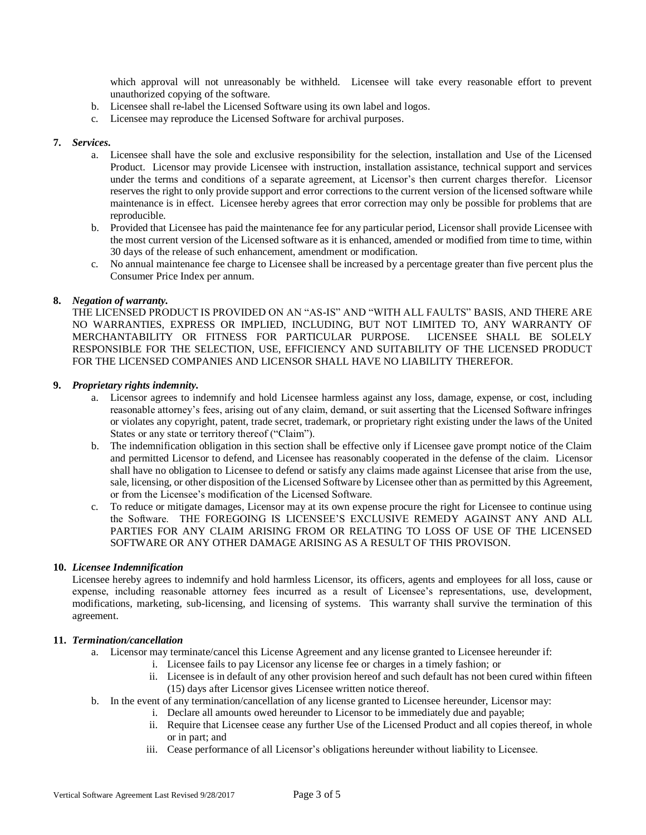which approval will not unreasonably be withheld. Licensee will take every reasonable effort to prevent unauthorized copying of the software.

- b. Licensee shall re-label the Licensed Software using its own label and logos.
- c. Licensee may reproduce the Licensed Software for archival purposes.

### **7.** *Services.*

- a. Licensee shall have the sole and exclusive responsibility for the selection, installation and Use of the Licensed Product. Licensor may provide Licensee with instruction, installation assistance, technical support and services under the terms and conditions of a separate agreement, at Licensor's then current charges therefor. Licensor reserves the right to only provide support and error corrections to the current version of the licensed software while maintenance is in effect. Licensee hereby agrees that error correction may only be possible for problems that are reproducible.
- b. Provided that Licensee has paid the maintenance fee for any particular period, Licensor shall provide Licensee with the most current version of the Licensed software as it is enhanced, amended or modified from time to time, within 30 days of the release of such enhancement, amendment or modification.
- c. No annual maintenance fee charge to Licensee shall be increased by a percentage greater than five percent plus the Consumer Price Index per annum.

### **8.** *Negation of warranty.*

THE LICENSED PRODUCT IS PROVIDED ON AN "AS-IS" AND "WITH ALL FAULTS" BASIS, AND THERE ARE NO WARRANTIES, EXPRESS OR IMPLIED, INCLUDING, BUT NOT LIMITED TO, ANY WARRANTY OF MERCHANTABILITY OR FITNESS FOR PARTICULAR PURPOSE. LICENSEE SHALL BE SOLELY RESPONSIBLE FOR THE SELECTION, USE, EFFICIENCY AND SUITABILITY OF THE LICENSED PRODUCT FOR THE LICENSED COMPANIES AND LICENSOR SHALL HAVE NO LIABILITY THEREFOR.

### **9.** *Proprietary rights indemnity.*

- a. Licensor agrees to indemnify and hold Licensee harmless against any loss, damage, expense, or cost, including reasonable attorney's fees, arising out of any claim, demand, or suit asserting that the Licensed Software infringes or violates any copyright, patent, trade secret, trademark, or proprietary right existing under the laws of the United States or any state or territory thereof ("Claim").
- b. The indemnification obligation in this section shall be effective only if Licensee gave prompt notice of the Claim and permitted Licensor to defend, and Licensee has reasonably cooperated in the defense of the claim. Licensor shall have no obligation to Licensee to defend or satisfy any claims made against Licensee that arise from the use, sale, licensing, or other disposition of the Licensed Software by Licensee other than as permitted by this Agreement, or from the Licensee's modification of the Licensed Software.
- c. To reduce or mitigate damages, Licensor may at its own expense procure the right for Licensee to continue using the Software. THE FOREGOING IS LICENSEE'S EXCLUSIVE REMEDY AGAINST ANY AND ALL PARTIES FOR ANY CLAIM ARISING FROM OR RELATING TO LOSS OF USE OF THE LICENSED SOFTWARE OR ANY OTHER DAMAGE ARISING AS A RESULT OF THIS PROVISON.

#### **10.** *Licensee Indemnification*

Licensee hereby agrees to indemnify and hold harmless Licensor, its officers, agents and employees for all loss, cause or expense, including reasonable attorney fees incurred as a result of Licensee's representations, use, development, modifications, marketing, sub-licensing, and licensing of systems. This warranty shall survive the termination of this agreement.

# **11.** *Termination/cancellation*

- a. Licensor may terminate/cancel this License Agreement and any license granted to Licensee hereunder if:
	- i. Licensee fails to pay Licensor any license fee or charges in a timely fashion; or
	- ii. Licensee is in default of any other provision hereof and such default has not been cured within fifteen (15) days after Licensor gives Licensee written notice thereof.
- b. In the event of any termination/cancellation of any license granted to Licensee hereunder, Licensor may:
	- i. Declare all amounts owed hereunder to Licensor to be immediately due and payable;
	- ii. Require that Licensee cease any further Use of the Licensed Product and all copies thereof, in whole or in part; and
	- iii. Cease performance of all Licensor's obligations hereunder without liability to Licensee.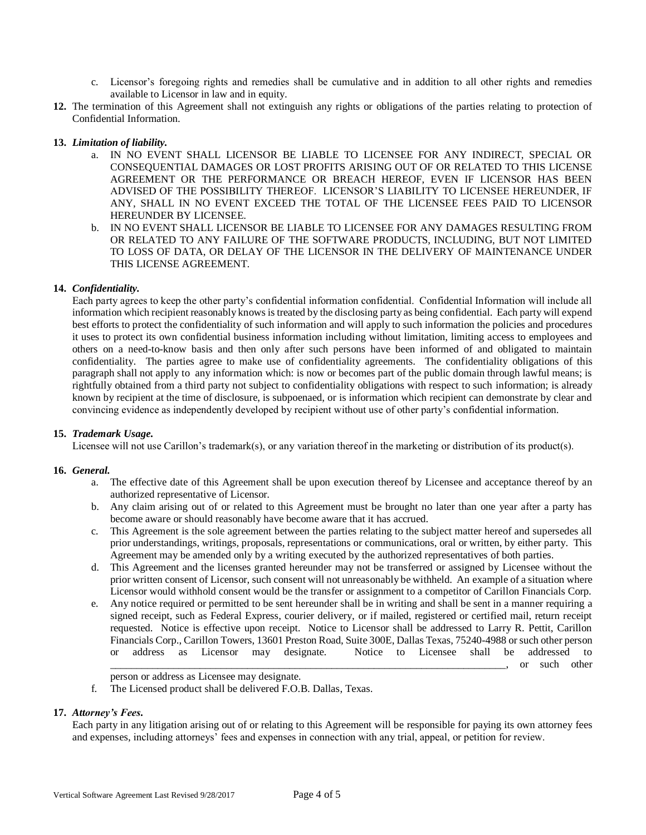- c. Licensor's foregoing rights and remedies shall be cumulative and in addition to all other rights and remedies available to Licensor in law and in equity.
- **12.** The termination of this Agreement shall not extinguish any rights or obligations of the parties relating to protection of Confidential Information.

# **13.** *Limitation of liability.*

- a. IN NO EVENT SHALL LICENSOR BE LIABLE TO LICENSEE FOR ANY INDIRECT, SPECIAL OR CONSEQUENTIAL DAMAGES OR LOST PROFITS ARISING OUT OF OR RELATED TO THIS LICENSE AGREEMENT OR THE PERFORMANCE OR BREACH HEREOF, EVEN IF LICENSOR HAS BEEN ADVISED OF THE POSSIBILITY THEREOF. LICENSOR'S LIABILITY TO LICENSEE HEREUNDER, IF ANY, SHALL IN NO EVENT EXCEED THE TOTAL OF THE LICENSEE FEES PAID TO LICENSOR HEREUNDER BY LICENSEE.
- b. IN NO EVENT SHALL LICENSOR BE LIABLE TO LICENSEE FOR ANY DAMAGES RESULTING FROM OR RELATED TO ANY FAILURE OF THE SOFTWARE PRODUCTS, INCLUDING, BUT NOT LIMITED TO LOSS OF DATA, OR DELAY OF THE LICENSOR IN THE DELIVERY OF MAINTENANCE UNDER THIS LICENSE AGREEMENT.

### **14.** *Confidentiality.*

Each party agrees to keep the other party's confidential information confidential. Confidential Information will include all information which recipient reasonably knows is treated by the disclosing party as being confidential. Each party will expend best efforts to protect the confidentiality of such information and will apply to such information the policies and procedures it uses to protect its own confidential business information including without limitation, limiting access to employees and others on a need-to-know basis and then only after such persons have been informed of and obligated to maintain confidentiality. The parties agree to make use of confidentiality agreements. The confidentiality obligations of this paragraph shall not apply to any information which: is now or becomes part of the public domain through lawful means; is rightfully obtained from a third party not subject to confidentiality obligations with respect to such information; is already known by recipient at the time of disclosure, is subpoenaed, or is information which recipient can demonstrate by clear and convincing evidence as independently developed by recipient without use of other party's confidential information.

# **15.** *Trademark Usage.*

Licensee will not use Carillon's trademark(s), or any variation thereof in the marketing or distribution of its product(s).

#### **16.** *General.*

- a. The effective date of this Agreement shall be upon execution thereof by Licensee and acceptance thereof by an authorized representative of Licensor.
- b. Any claim arising out of or related to this Agreement must be brought no later than one year after a party has become aware or should reasonably have become aware that it has accrued.
- c. This Agreement is the sole agreement between the parties relating to the subject matter hereof and supersedes all prior understandings, writings, proposals, representations or communications, oral or written, by either party. This Agreement may be amended only by a writing executed by the authorized representatives of both parties.
- d. This Agreement and the licenses granted hereunder may not be transferred or assigned by Licensee without the prior written consent of Licensor, such consent will not unreasonably be withheld. An example of a situation where Licensor would withhold consent would be the transfer or assignment to a competitor of Carillon Financials Corp.
- e. Any notice required or permitted to be sent hereunder shall be in writing and shall be sent in a manner requiring a signed receipt, such as Federal Express, courier delivery, or if mailed, registered or certified mail, return receipt requested. Notice is effective upon receipt. Notice to Licensor shall be addressed to Larry R. Pettit, Carillon Financials Corp., Carillon Towers, 13601 Preston Road, Suite 300E, Dallas Texas, 75240-4988 or such other person or address as Licensor may designate. Notice to Licensee shall be addressed to

. or such other

person or address as Licensee may designate.

f. The Licensed product shall be delivered F.O.B. Dallas, Texas.

# **17.** *Attorney's Fees.*

Each party in any litigation arising out of or relating to this Agreement will be responsible for paying its own attorney fees and expenses, including attorneys' fees and expenses in connection with any trial, appeal, or petition for review.